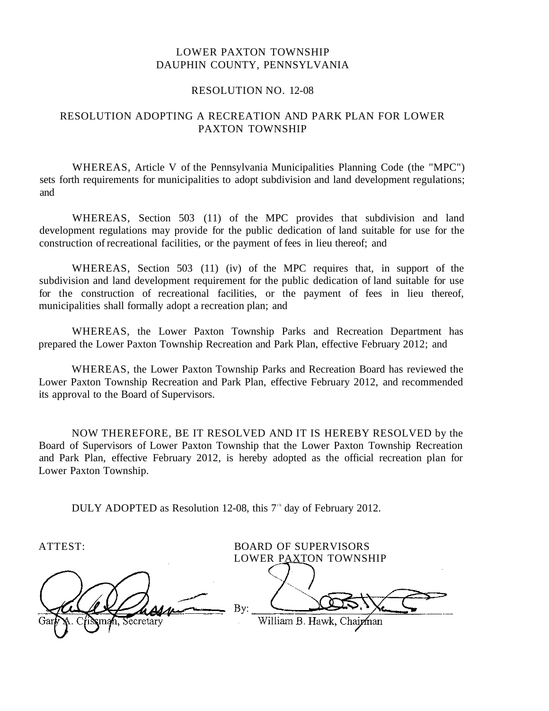#### LOWER PAXTON TOWNSHIP DAUPHIN COUNTY, PENNSYLVANIA

#### RESOLUTION NO. 12-08

#### RESOLUTION ADOPTING A RECREATION AND PARK PLAN FOR LOWER PAXTON TOWNSHIP

WHEREAS, Article V of the Pennsylvania Municipalities Planning Code (the "MPC") sets forth requirements for municipalities to adopt subdivision and land development regulations; and

WHEREAS, Section 503 (11) of the MPC provides that subdivision and land development regulations may provide for the public dedication of land suitable for use for the construction of recreational facilities, or the payment of fees in lieu thereof; and

WHEREAS, Section 503 (11) (iv) of the MPC requires that, in support of the subdivision and land development requirement for the public dedication of land suitable for use for the construction of recreational facilities, or the payment of fees in lieu thereof, municipalities shall formally adopt a recreation plan; and

WHEREAS, the Lower Paxton Township Parks and Recreation Department has prepared the Lower Paxton Township Recreation and Park Plan, effective February 2012; and

WHEREAS, the Lower Paxton Township Parks and Recreation Board has reviewed the Lower Paxton Township Recreation and Park Plan, effective February 2012, and recommended its approval to the Board of Supervisors.

NOW THEREFORE, BE IT RESOLVED AND IT IS HEREBY RESOLVED by the Board of Supervisors of Lower Paxton Township that the Lower Paxton Township Recreation and Park Plan, effective February 2012, is hereby adopted as the official recreation plan for Lower Paxton Township.

DULY ADOPTED as Resolution 12-08, this  $7<sup>th</sup>$  day of February 2012.

sman. Secretary

ATTEST: BOARD OF SUPERVISORS LOWER PAXTON TOWNSHIP By: William B. Hawk, Chairman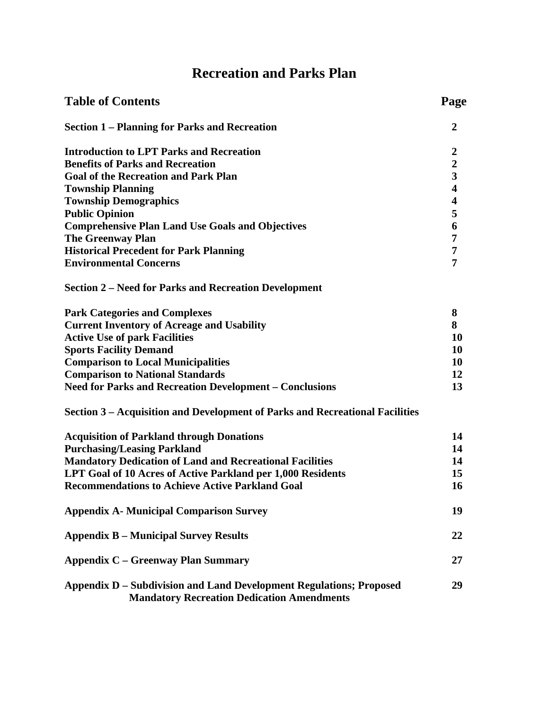## **Recreation and Parks Plan**

| <b>Table of Contents</b>                                                                                                 | Page                    |
|--------------------------------------------------------------------------------------------------------------------------|-------------------------|
| <b>Section 1 – Planning for Parks and Recreation</b>                                                                     | $\overline{2}$          |
| <b>Introduction to LPT Parks and Recreation</b>                                                                          | $\boldsymbol{2}$        |
| <b>Benefits of Parks and Recreation</b>                                                                                  | $\frac{2}{3}$           |
| <b>Goal of the Recreation and Park Plan</b>                                                                              |                         |
| <b>Township Planning</b>                                                                                                 | $\overline{\mathbf{4}}$ |
| <b>Township Demographics</b>                                                                                             | $\overline{\mathbf{4}}$ |
| <b>Public Opinion</b>                                                                                                    | 5                       |
| <b>Comprehensive Plan Land Use Goals and Objectives</b>                                                                  | $\boldsymbol{6}$        |
| <b>The Greenway Plan</b>                                                                                                 | $\overline{7}$          |
| <b>Historical Precedent for Park Planning</b>                                                                            | $\overline{7}$          |
| <b>Environmental Concerns</b>                                                                                            | 7                       |
| <b>Section 2 – Need for Parks and Recreation Development</b>                                                             |                         |
| <b>Park Categories and Complexes</b>                                                                                     | 8                       |
| <b>Current Inventory of Acreage and Usability</b>                                                                        | 8                       |
| <b>Active Use of park Facilities</b>                                                                                     | 10                      |
| <b>Sports Facility Demand</b>                                                                                            | 10                      |
| <b>Comparison to Local Municipalities</b>                                                                                | 10                      |
| <b>Comparison to National Standards</b>                                                                                  | 12                      |
| <b>Need for Parks and Recreation Development - Conclusions</b>                                                           | 13                      |
| Section 3 – Acquisition and Development of Parks and Recreational Facilities                                             |                         |
| <b>Acquisition of Parkland through Donations</b>                                                                         | 14                      |
| <b>Purchasing/Leasing Parkland</b>                                                                                       | 14                      |
| <b>Mandatory Dedication of Land and Recreational Facilities</b>                                                          | 14                      |
| LPT Goal of 10 Acres of Active Parkland per 1,000 Residents                                                              | 15                      |
| <b>Recommendations to Achieve Active Parkland Goal</b>                                                                   | 16                      |
| <b>Appendix A- Municipal Comparison Survey</b>                                                                           | 19                      |
| <b>Appendix B – Municipal Survey Results</b>                                                                             | 22                      |
| <b>Appendix C – Greenway Plan Summary</b>                                                                                | 27                      |
| Appendix D – Subdivision and Land Development Regulations; Proposed<br><b>Mandatory Recreation Dedication Amendments</b> | 29                      |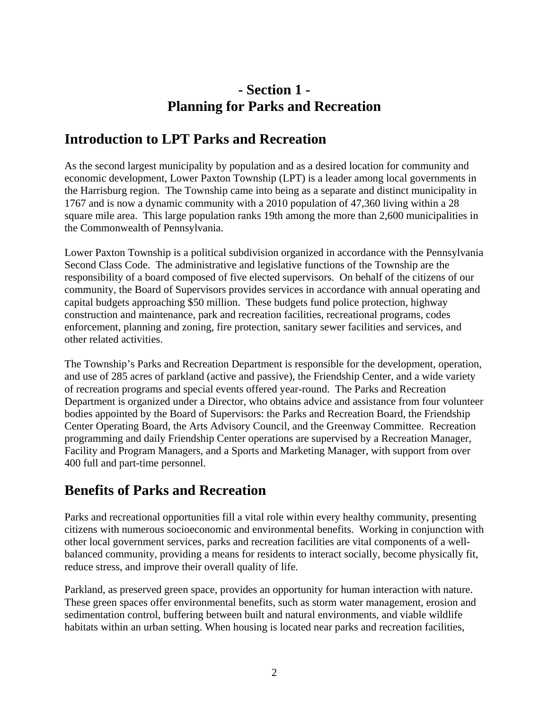### **- Section 1 - Planning for Parks and Recreation**

### **Introduction to LPT Parks and Recreation**

As the second largest municipality by population and as a desired location for community and economic development, Lower Paxton Township (LPT) is a leader among local governments in the Harrisburg region. The Township came into being as a separate and distinct municipality in 1767 and is now a dynamic community with a 2010 population of 47,360 living within a 28 square mile area. This large population ranks 19th among the more than 2,600 municipalities in the [Commonwealth of Pennsylvania](http://www.state.pa.us/).

Lower Paxton Township is a political subdivision organized in accordance with the Pennsylvania Second Class Code. The administrative and legislative functions of the Township are the responsibility of a board composed of five elected supervisors. On behalf of the citizens of our community, the Board of Supervisors provides services in accordance with annual operating and capital budgets approaching \$50 million. These budgets fund police protection, highway construction and maintenance, park and recreation facilities, recreational programs, codes enforcement, planning and zoning, fire protection, sanitary sewer facilities and services, and other related activities.

The Township's Parks and Recreation Department is responsible for the development, operation, and use of 285 acres of parkland (active and passive), the Friendship Center, and a wide variety of recreation programs and special events offered year-round. The Parks and Recreation Department is organized under a Director, who obtains advice and assistance from four volunteer bodies appointed by the Board of Supervisors: the Parks and Recreation Board, the Friendship Center Operating Board, the Arts Advisory Council, and the Greenway Committee. Recreation programming and daily Friendship Center operations are supervised by a Recreation Manager, Facility and Program Managers, and a Sports and Marketing Manager, with support from over 400 full and part-time personnel.

### **Benefits of Parks and Recreation**

Parks and recreational opportunities fill a vital role within every healthy community, presenting citizens with numerous socioeconomic and environmental benefits. Working in conjunction with other local government services, parks and recreation facilities are vital components of a wellbalanced community, providing a means for residents to interact socially, become physically fit, reduce stress, and improve their overall quality of life.

Parkland, as preserved green space, provides an opportunity for human interaction with nature. These green spaces offer environmental benefits, such as storm water management, erosion and sedimentation control, buffering between built and natural environments, and viable wildlife habitats within an urban setting. When housing is located near parks and recreation facilities,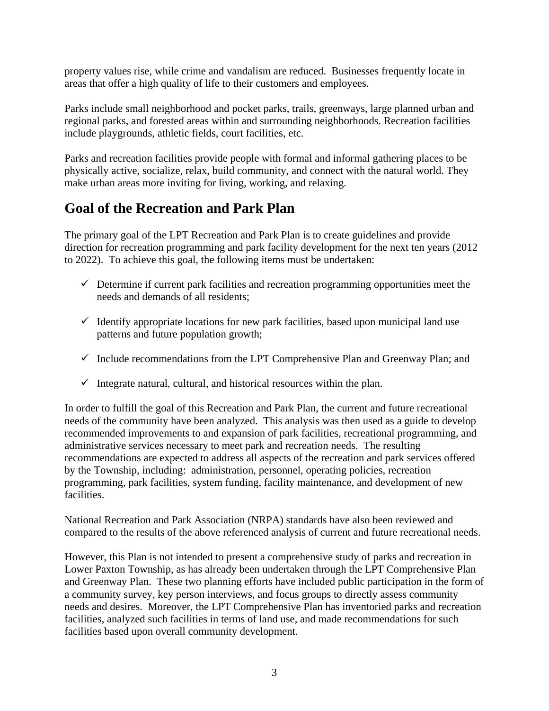property values rise, while crime and vandalism are reduced. Businesses frequently locate in areas that offer a high quality of life to their customers and employees.

Parks include small neighborhood and pocket parks, trails, greenways, large planned urban and regional parks, and forested areas within and surrounding neighborhoods. Recreation facilities include playgrounds, athletic fields, court facilities, etc.

Parks and recreation facilities provide people with formal and informal gathering places to be physically active, socialize, relax, build community, and connect with the natural world. They make urban areas more inviting for living, working, and relaxing.

### **Goal of the Recreation and Park Plan**

The primary goal of the LPT Recreation and Park Plan is to create guidelines and provide direction for recreation programming and park facility development for the next ten years (2012 to 2022). To achieve this goal, the following items must be undertaken:

- $\checkmark$  Determine if current park facilities and recreation programming opportunities meet the needs and demands of all residents;
- $\checkmark$  Identify appropriate locations for new park facilities, based upon municipal land use patterns and future population growth;
- $\checkmark$  Include recommendations from the LPT Comprehensive Plan and Greenway Plan; and
- $\checkmark$  Integrate natural, cultural, and historical resources within the plan.

In order to fulfill the goal of this Recreation and Park Plan, the current and future recreational needs of the community have been analyzed. This analysis was then used as a guide to develop recommended improvements to and expansion of park facilities, recreational programming, and administrative services necessary to meet park and recreation needs. The resulting recommendations are expected to address all aspects of the recreation and park services offered by the Township, including: administration, personnel, operating policies, recreation programming, park facilities, system funding, facility maintenance, and development of new facilities.

National Recreation and Park Association (NRPA) standards have also been reviewed and compared to the results of the above referenced analysis of current and future recreational needs.

However, this Plan is not intended to present a comprehensive study of parks and recreation in Lower Paxton Township, as has already been undertaken through the LPT Comprehensive Plan and Greenway Plan. These two planning efforts have included public participation in the form of a community survey, key person interviews, and focus groups to directly assess community needs and desires. Moreover, the LPT Comprehensive Plan has inventoried parks and recreation facilities, analyzed such facilities in terms of land use, and made recommendations for such facilities based upon overall community development.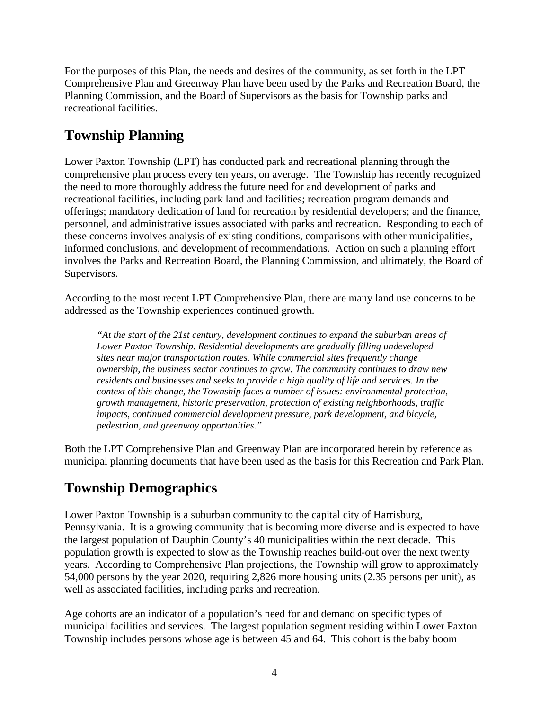For the purposes of this Plan, the needs and desires of the community, as set forth in the LPT Comprehensive Plan and Greenway Plan have been used by the Parks and Recreation Board, the Planning Commission, and the Board of Supervisors as the basis for Township parks and recreational facilities.

### **Township Planning**

Lower Paxton Township (LPT) has conducted park and recreational planning through the comprehensive plan process every ten years, on average. The Township has recently recognized the need to more thoroughly address the future need for and development of parks and recreational facilities, including park land and facilities; recreation program demands and offerings; mandatory dedication of land for recreation by residential developers; and the finance, personnel, and administrative issues associated with parks and recreation. Responding to each of these concerns involves analysis of existing conditions, comparisons with other municipalities, informed conclusions, and development of recommendations. Action on such a planning effort involves the Parks and Recreation Board, the Planning Commission, and ultimately, the Board of Supervisors.

According to the most recent LPT Comprehensive Plan, there are many land use concerns to be addressed as the Township experiences continued growth.

*"At the start of the 21st century, development continues to expand the suburban areas of Lower Paxton Township. Residential developments are gradually filling undeveloped sites near major transportation routes. While commercial sites frequently change ownership, the business sector continues to grow. The community continues to draw new residents and businesses and seeks to provide a high quality of life and services. In the context of this change, the Township faces a number of issues: environmental protection, growth management, historic preservation, protection of existing neighborhoods, traffic impacts, continued commercial development pressure, park development, and bicycle, pedestrian, and greenway opportunities."* 

Both the LPT Comprehensive Plan and Greenway Plan are incorporated herein by reference as municipal planning documents that have been used as the basis for this Recreation and Park Plan.

### **Township Demographics**

Lower Paxton Township is a suburban community to the capital city of Harrisburg, Pennsylvania. It is a growing community that is becoming more diverse and is expected to have the largest population of Dauphin County's 40 municipalities within the next decade. This population growth is expected to slow as the Township reaches build-out over the next twenty years. According to Comprehensive Plan projections, the Township will grow to approximately 54,000 persons by the year 2020, requiring 2,826 more housing units (2.35 persons per unit), as well as associated facilities, including parks and recreation.

Age cohorts are an indicator of a population's need for and demand on specific types of municipal facilities and services. The largest population segment residing within Lower Paxton Township includes persons whose age is between 45 and 64. This cohort is the baby boom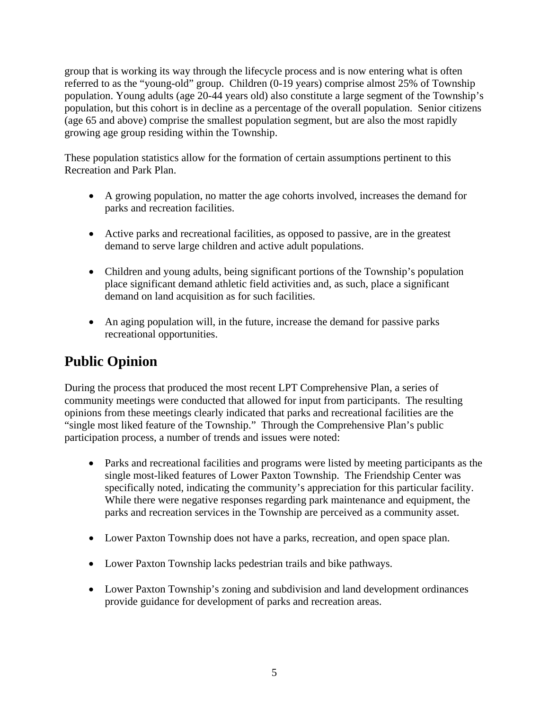group that is working its way through the lifecycle process and is now entering what is often referred to as the "young-old" group. Children (0-19 years) comprise almost 25% of Township population. Young adults (age 20-44 years old) also constitute a large segment of the Township's population, but this cohort is in decline as a percentage of the overall population. Senior citizens (age 65 and above) comprise the smallest population segment, but are also the most rapidly growing age group residing within the Township.

These population statistics allow for the formation of certain assumptions pertinent to this Recreation and Park Plan.

- A growing population, no matter the age cohorts involved, increases the demand for parks and recreation facilities.
- Active parks and recreational facilities, as opposed to passive, are in the greatest demand to serve large children and active adult populations.
- Children and young adults, being significant portions of the Township's population place significant demand athletic field activities and, as such, place a significant demand on land acquisition as for such facilities.
- An aging population will, in the future, increase the demand for passive parks recreational opportunities.

## **Public Opinion**

During the process that produced the most recent LPT Comprehensive Plan, a series of community meetings were conducted that allowed for input from participants. The resulting opinions from these meetings clearly indicated that parks and recreational facilities are the "single most liked feature of the Township." Through the Comprehensive Plan's public participation process, a number of trends and issues were noted:

- Parks and recreational facilities and programs were listed by meeting participants as the single most-liked features of Lower Paxton Township. The Friendship Center was specifically noted, indicating the community's appreciation for this particular facility. While there were negative responses regarding park maintenance and equipment, the parks and recreation services in the Township are perceived as a community asset.
- Lower Paxton Township does not have a parks, recreation, and open space plan.
- Lower Paxton Township lacks pedestrian trails and bike pathways.
- Lower Paxton Township's zoning and subdivision and land development ordinances provide guidance for development of parks and recreation areas.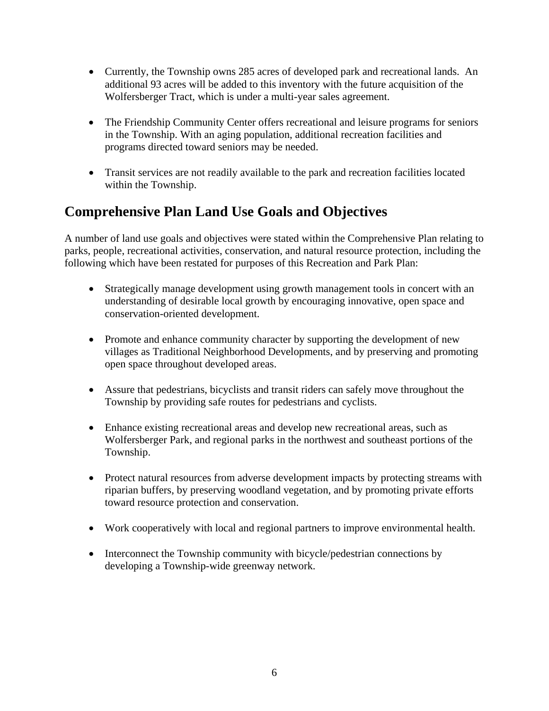- Currently, the Township owns 285 acres of developed park and recreational lands. An additional 93 acres will be added to this inventory with the future acquisition of the Wolfersberger Tract, which is under a multi-year sales agreement.
- The Friendship Community Center offers recreational and leisure programs for seniors in the Township. With an aging population, additional recreation facilities and programs directed toward seniors may be needed.
- Transit services are not readily available to the park and recreation facilities located within the Township.

### **Comprehensive Plan Land Use Goals and Objectives**

A number of land use goals and objectives were stated within the Comprehensive Plan relating to parks, people, recreational activities, conservation, and natural resource protection, including the following which have been restated for purposes of this Recreation and Park Plan:

- Strategically manage development using growth management tools in concert with an understanding of desirable local growth by encouraging innovative, open space and conservation-oriented development.
- Promote and enhance community character by supporting the development of new villages as Traditional Neighborhood Developments, and by preserving and promoting open space throughout developed areas.
- Assure that pedestrians, bicyclists and transit riders can safely move throughout the Township by providing safe routes for pedestrians and cyclists.
- Enhance existing recreational areas and develop new recreational areas, such as Wolfersberger Park, and regional parks in the northwest and southeast portions of the Township.
- Protect natural resources from adverse development impacts by protecting streams with riparian buffers, by preserving woodland vegetation, and by promoting private efforts toward resource protection and conservation.
- Work cooperatively with local and regional partners to improve environmental health.
- Interconnect the Township community with bicycle/pedestrian connections by developing a Township-wide greenway network.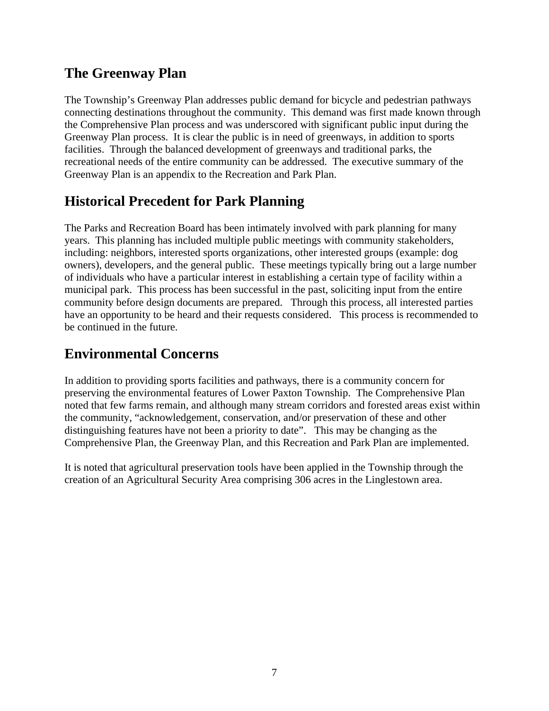### **The Greenway Plan**

The Township's Greenway Plan addresses public demand for bicycle and pedestrian pathways connecting destinations throughout the community. This demand was first made known through the Comprehensive Plan process and was underscored with significant public input during the Greenway Plan process. It is clear the public is in need of greenways, in addition to sports facilities. Through the balanced development of greenways and traditional parks, the recreational needs of the entire community can be addressed. The executive summary of the Greenway Plan is an appendix to the Recreation and Park Plan.

### **Historical Precedent for Park Planning**

The Parks and Recreation Board has been intimately involved with park planning for many years. This planning has included multiple public meetings with community stakeholders, including: neighbors, interested sports organizations, other interested groups (example: dog owners), developers, and the general public. These meetings typically bring out a large number of individuals who have a particular interest in establishing a certain type of facility within a municipal park. This process has been successful in the past, soliciting input from the entire community before design documents are prepared. Through this process, all interested parties have an opportunity to be heard and their requests considered. This process is recommended to be continued in the future.

### **Environmental Concerns**

In addition to providing sports facilities and pathways, there is a community concern for preserving the environmental features of Lower Paxton Township. The Comprehensive Plan noted that few farms remain, and although many stream corridors and forested areas exist within the community, "acknowledgement, conservation, and/or preservation of these and other distinguishing features have not been a priority to date". This may be changing as the Comprehensive Plan, the Greenway Plan, and this Recreation and Park Plan are implemented.

It is noted that agricultural preservation tools have been applied in the Township through the creation of an Agricultural Security Area comprising 306 acres in the Linglestown area.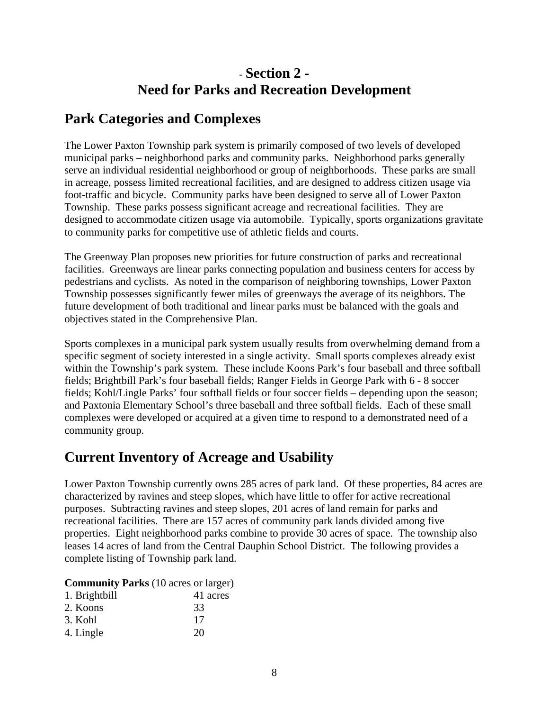### - **Section 2 - Need for Parks and Recreation Development**

### **Park Categories and Complexes**

The Lower Paxton Township park system is primarily composed of two levels of developed municipal parks – neighborhood parks and community parks. Neighborhood parks generally serve an individual residential neighborhood or group of neighborhoods. These parks are small in acreage, possess limited recreational facilities, and are designed to address citizen usage via foot-traffic and bicycle. Community parks have been designed to serve all of Lower Paxton Township. These parks possess significant acreage and recreational facilities. They are designed to accommodate citizen usage via automobile. Typically, sports organizations gravitate to community parks for competitive use of athletic fields and courts.

The Greenway Plan proposes new priorities for future construction of parks and recreational facilities. Greenways are linear parks connecting population and business centers for access by pedestrians and cyclists. As noted in the comparison of neighboring townships, Lower Paxton Township possesses significantly fewer miles of greenways the average of its neighbors. The future development of both traditional and linear parks must be balanced with the goals and objectives stated in the Comprehensive Plan.

Sports complexes in a municipal park system usually results from overwhelming demand from a specific segment of society interested in a single activity. Small sports complexes already exist within the Township's park system. These include Koons Park's four baseball and three softball fields; Brightbill Park's four baseball fields; Ranger Fields in George Park with 6 - 8 soccer fields; Kohl/Lingle Parks' four softball fields or four soccer fields – depending upon the season; and Paxtonia Elementary School's three baseball and three softball fields. Each of these small complexes were developed or acquired at a given time to respond to a demonstrated need of a community group.

### **Current Inventory of Acreage and Usability**

Lower Paxton Township currently owns 285 acres of park land. Of these properties, 84 acres are characterized by ravines and steep slopes, which have little to offer for active recreational purposes. Subtracting ravines and steep slopes, 201 acres of land remain for parks and recreational facilities. There are 157 acres of community park lands divided among five properties. Eight neighborhood parks combine to provide 30 acres of space. The township also leases 14 acres of land from the Central Dauphin School District. The following provides a complete listing of Township park land.

#### **Community Parks** (10 acres or larger)

| 1. Brightbill | 41 acres |
|---------------|----------|
| 2. Koons      | 33       |
| 3. Kohl       | 17       |
| 4. Lingle     | 20       |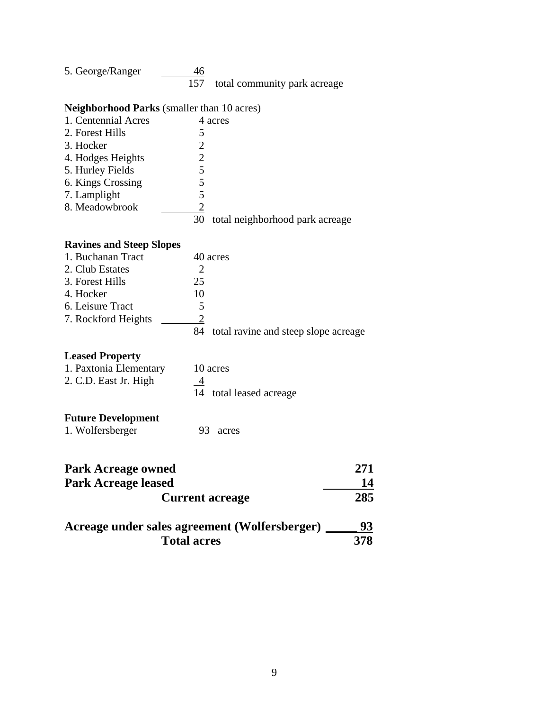| 5. George/Ranger | 46 |                                  |
|------------------|----|----------------------------------|
|                  |    | 157 total community park acreage |

#### **Neighborhood Parks** (smaller than 10 acres)

| 1. Centennial Acres | 4 acres                               |  |
|---------------------|---------------------------------------|--|
| 2. Forest Hills     |                                       |  |
| 3. Hocker           | 2                                     |  |
| 4. Hodges Heights   | 2                                     |  |
| 5. Hurley Fields    | 5                                     |  |
| 6. Kings Crossing   | 5                                     |  |
| 7. Lamplight        | 5                                     |  |
| 8. Meadowbrook      | 2                                     |  |
|                     | total neighborhood park acreage<br>30 |  |
|                     |                                       |  |

### **Ravines and Steep Slopes**

| 1. Buchanan Tract   |    | 40 acres                                |
|---------------------|----|-----------------------------------------|
| 2. Club Estates     |    |                                         |
| 3. Forest Hills     | 25 |                                         |
| 4. Hocker           | 10 |                                         |
| 6. Leisure Tract    | 5  |                                         |
| 7. Rockford Heights |    |                                         |
|                     |    | 84 total ravine and steep slope acreage |
|                     |    |                                         |

#### **Leased Property**

| 1. Paxtonia Elementary | 10 acres                |
|------------------------|-------------------------|
| 2. C.D. East Jr. High  |                         |
|                        | 14 total leased acreage |

#### **Future Development**

1. Wolfersberger 93 acres

| <b>Park Acreage owned</b>                     | 271 |
|-----------------------------------------------|-----|
| <b>Park Acreage leased</b>                    | 14  |
| <b>Current acreage</b>                        | 285 |
| Acreage under sales agreement (Wolfersberger) | 93  |
| <b>Total acres</b>                            | 378 |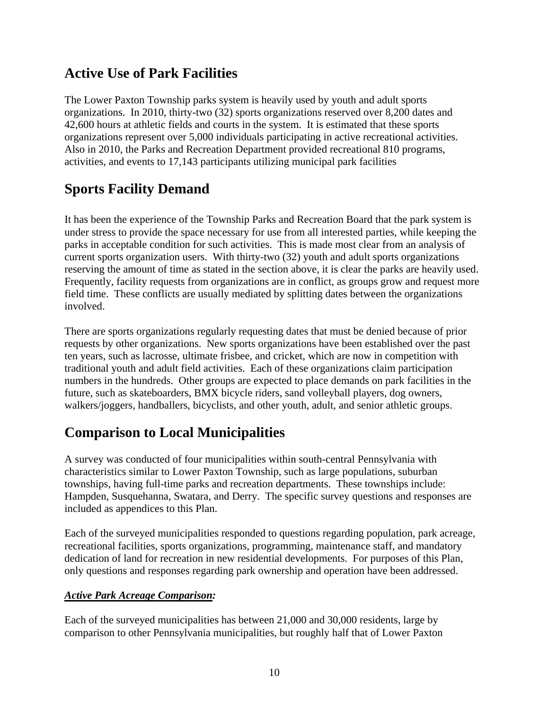### **Active Use of Park Facilities**

The Lower Paxton Township parks system is heavily used by youth and adult sports organizations. In 2010, thirty-two (32) sports organizations reserved over 8,200 dates and 42,600 hours at athletic fields and courts in the system. It is estimated that these sports organizations represent over 5,000 individuals participating in active recreational activities. Also in 2010, the Parks and Recreation Department provided recreational 810 programs, activities, and events to 17,143 participants utilizing municipal park facilities

### **Sports Facility Demand**

It has been the experience of the Township Parks and Recreation Board that the park system is under stress to provide the space necessary for use from all interested parties, while keeping the parks in acceptable condition for such activities. This is made most clear from an analysis of current sports organization users. With thirty-two (32) youth and adult sports organizations reserving the amount of time as stated in the section above, it is clear the parks are heavily used. Frequently, facility requests from organizations are in conflict, as groups grow and request more field time. These conflicts are usually mediated by splitting dates between the organizations involved.

There are sports organizations regularly requesting dates that must be denied because of prior requests by other organizations. New sports organizations have been established over the past ten years, such as lacrosse, ultimate frisbee, and cricket, which are now in competition with traditional youth and adult field activities. Each of these organizations claim participation numbers in the hundreds. Other groups are expected to place demands on park facilities in the future, such as skateboarders, BMX bicycle riders, sand volleyball players, dog owners, walkers/joggers, handballers, bicyclists, and other youth, adult, and senior athletic groups.

### **Comparison to Local Municipalities**

A survey was conducted of four municipalities within south-central Pennsylvania with characteristics similar to Lower Paxton Township, such as large populations, suburban townships, having full-time parks and recreation departments. These townships include: Hampden, Susquehanna, Swatara, and Derry. The specific survey questions and responses are included as appendices to this Plan.

Each of the surveyed municipalities responded to questions regarding population, park acreage, recreational facilities, sports organizations, programming, maintenance staff, and mandatory dedication of land for recreation in new residential developments. For purposes of this Plan, only questions and responses regarding park ownership and operation have been addressed.

#### *Active Park Acreage Comparison:*

Each of the surveyed municipalities has between 21,000 and 30,000 residents, large by comparison to other Pennsylvania municipalities, but roughly half that of Lower Paxton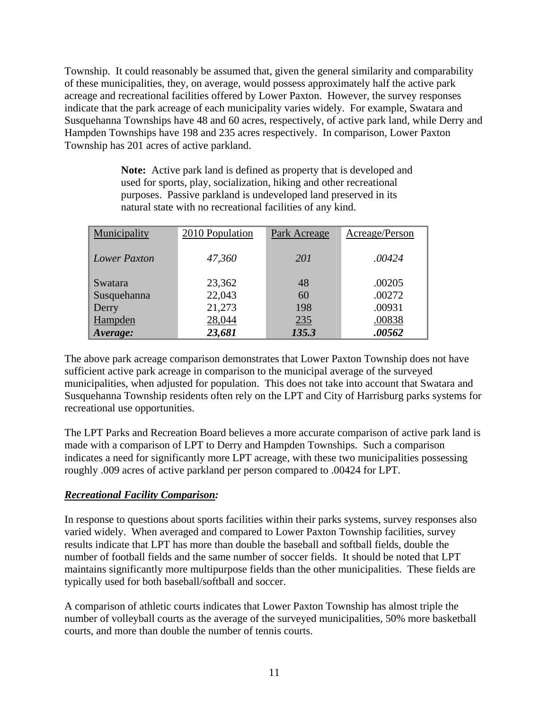Township. It could reasonably be assumed that, given the general similarity and comparability of these municipalities, they, on average, would possess approximately half the active park acreage and recreational facilities offered by Lower Paxton. However, the survey responses indicate that the park acreage of each municipality varies widely. For example, Swatara and Susquehanna Townships have 48 and 60 acres, respectively, of active park land, while Derry and Hampden Townships have 198 and 235 acres respectively. In comparison, Lower Paxton Township has 201 acres of active parkland.

> **Note:** Active park land is defined as property that is developed and used for sports, play, socialization, hiking and other recreational purposes. Passive parkland is undeveloped land preserved in its natural state with no recreational facilities of any kind.

| Municipality | 2010 Population | Park Acreage | Acreage/Person |  |
|--------------|-----------------|--------------|----------------|--|
| Lower Paxton | 47,360          | <i>201</i>   | .00424         |  |
| Swatara      | 23,362          | 48           | .00205         |  |
| Susquehanna  | 22,043          | 60           | .00272         |  |
| Derry        | 21,273          | 198          | .00931         |  |
| Hampden      | 28,044          | 235          | .00838         |  |
| Average:     | 23,681          | 135.3        | .00562         |  |

The above park acreage comparison demonstrates that Lower Paxton Township does not have sufficient active park acreage in comparison to the municipal average of the surveyed municipalities, when adjusted for population. This does not take into account that Swatara and Susquehanna Township residents often rely on the LPT and City of Harrisburg parks systems for recreational use opportunities.

The LPT Parks and Recreation Board believes a more accurate comparison of active park land is made with a comparison of LPT to Derry and Hampden Townships. Such a comparison indicates a need for significantly more LPT acreage, with these two municipalities possessing roughly .009 acres of active parkland per person compared to .00424 for LPT.

#### *Recreational Facility Comparison:*

In response to questions about sports facilities within their parks systems, survey responses also varied widely. When averaged and compared to Lower Paxton Township facilities, survey results indicate that LPT has more than double the baseball and softball fields, double the number of football fields and the same number of soccer fields. It should be noted that LPT maintains significantly more multipurpose fields than the other municipalities. These fields are typically used for both baseball/softball and soccer.

A comparison of athletic courts indicates that Lower Paxton Township has almost triple the number of volleyball courts as the average of the surveyed municipalities, 50% more basketball courts, and more than double the number of tennis courts.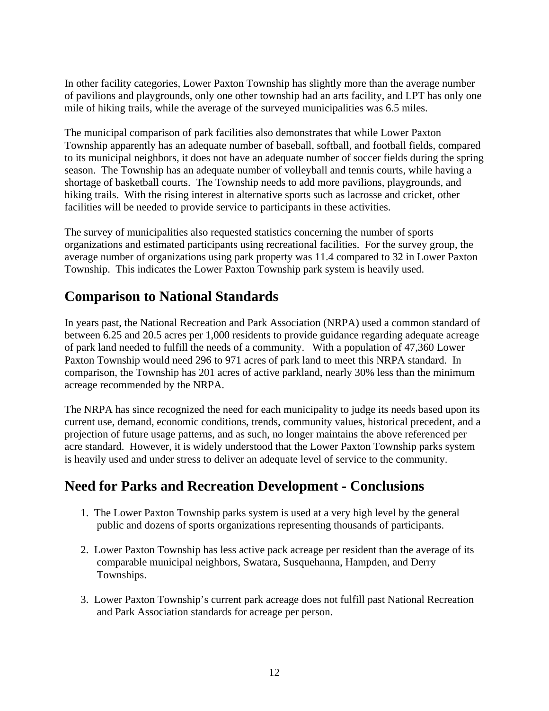In other facility categories, Lower Paxton Township has slightly more than the average number of pavilions and playgrounds, only one other township had an arts facility, and LPT has only one mile of hiking trails, while the average of the surveyed municipalities was 6.5 miles.

The municipal comparison of park facilities also demonstrates that while Lower Paxton Township apparently has an adequate number of baseball, softball, and football fields, compared to its municipal neighbors, it does not have an adequate number of soccer fields during the spring season. The Township has an adequate number of volleyball and tennis courts, while having a shortage of basketball courts. The Township needs to add more pavilions, playgrounds, and hiking trails. With the rising interest in alternative sports such as lacrosse and cricket, other facilities will be needed to provide service to participants in these activities.

The survey of municipalities also requested statistics concerning the number of sports organizations and estimated participants using recreational facilities. For the survey group, the average number of organizations using park property was 11.4 compared to 32 in Lower Paxton Township. This indicates the Lower Paxton Township park system is heavily used.

### **Comparison to National Standards**

In years past, the National Recreation and Park Association (NRPA) used a common standard of between 6.25 and 20.5 acres per 1,000 residents to provide guidance regarding adequate acreage of park land needed to fulfill the needs of a community. With a population of 47,360 Lower Paxton Township would need 296 to 971 acres of park land to meet this NRPA standard. In comparison, the Township has 201 acres of active parkland, nearly 30% less than the minimum acreage recommended by the NRPA.

The NRPA has since recognized the need for each municipality to judge its needs based upon its current use, demand, economic conditions, trends, community values, historical precedent, and a projection of future usage patterns, and as such, no longer maintains the above referenced per acre standard. However, it is widely understood that the Lower Paxton Township parks system is heavily used and under stress to deliver an adequate level of service to the community.

### **Need for Parks and Recreation Development - Conclusions**

- 1. The Lower Paxton Township parks system is used at a very high level by the general public and dozens of sports organizations representing thousands of participants.
- 2. Lower Paxton Township has less active pack acreage per resident than the average of its comparable municipal neighbors, Swatara, Susquehanna, Hampden, and Derry Townships.
- 3. Lower Paxton Township's current park acreage does not fulfill past National Recreation and Park Association standards for acreage per person.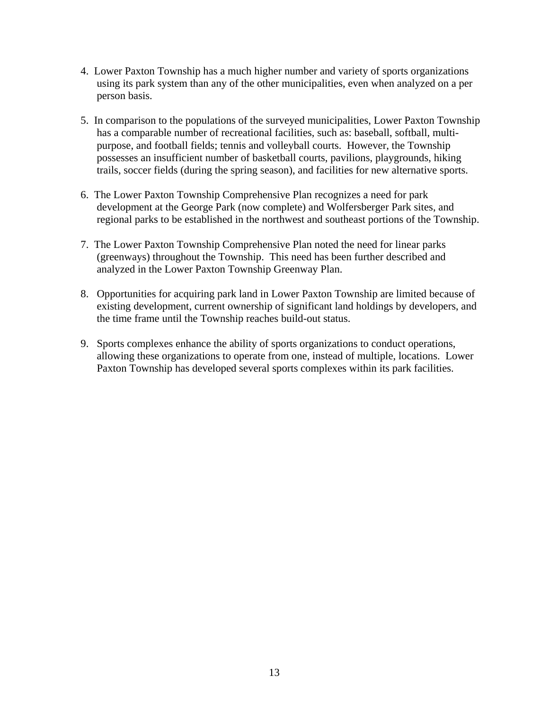- 4. Lower Paxton Township has a much higher number and variety of sports organizations using its park system than any of the other municipalities, even when analyzed on a per person basis.
- 5. In comparison to the populations of the surveyed municipalities, Lower Paxton Township has a comparable number of recreational facilities, such as: baseball, softball, multipurpose, and football fields; tennis and volleyball courts. However, the Township possesses an insufficient number of basketball courts, pavilions, playgrounds, hiking trails, soccer fields (during the spring season), and facilities for new alternative sports.
- 6. The Lower Paxton Township Comprehensive Plan recognizes a need for park development at the George Park (now complete) and Wolfersberger Park sites, and regional parks to be established in the northwest and southeast portions of the Township.
- 7. The Lower Paxton Township Comprehensive Plan noted the need for linear parks (greenways) throughout the Township. This need has been further described and analyzed in the Lower Paxton Township Greenway Plan.
- 8. Opportunities for acquiring park land in Lower Paxton Township are limited because of existing development, current ownership of significant land holdings by developers, and the time frame until the Township reaches build-out status.
- 9. Sports complexes enhance the ability of sports organizations to conduct operations, allowing these organizations to operate from one, instead of multiple, locations. Lower Paxton Township has developed several sports complexes within its park facilities.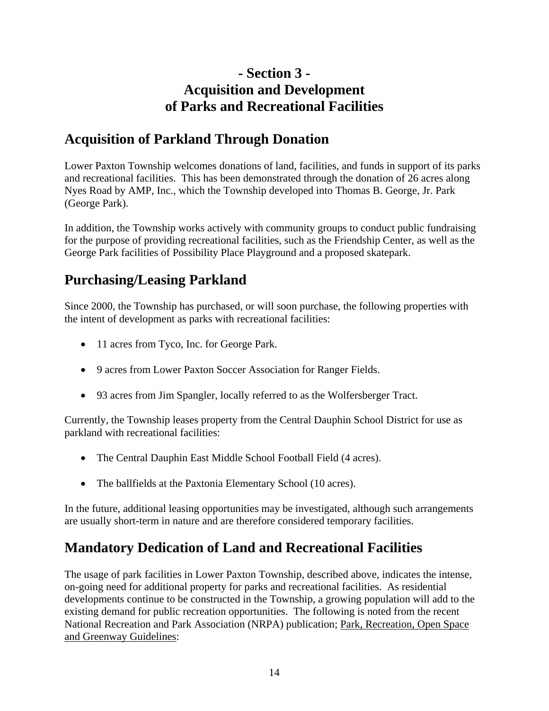### **- Section 3 - Acquisition and Development of Parks and Recreational Facilities**

### **Acquisition of Parkland Through Donation**

Lower Paxton Township welcomes donations of land, facilities, and funds in support of its parks and recreational facilities. This has been demonstrated through the donation of 26 acres along Nyes Road by AMP, Inc., which the Township developed into Thomas B. George, Jr. Park (George Park).

In addition, the Township works actively with community groups to conduct public fundraising for the purpose of providing recreational facilities, such as the Friendship Center, as well as the George Park facilities of Possibility Place Playground and a proposed skatepark.

### **Purchasing/Leasing Parkland**

Since 2000, the Township has purchased, or will soon purchase, the following properties with the intent of development as parks with recreational facilities:

- 11 acres from Tyco, Inc. for George Park.
- 9 acres from Lower Paxton Soccer Association for Ranger Fields.
- 93 acres from Jim Spangler, locally referred to as the Wolfersberger Tract.

Currently, the Township leases property from the Central Dauphin School District for use as parkland with recreational facilities:

- The Central Dauphin East Middle School Football Field (4 acres).
- The ballfields at the Paxtonia Elementary School (10 acres).

In the future, additional leasing opportunities may be investigated, although such arrangements are usually short-term in nature and are therefore considered temporary facilities.

### **Mandatory Dedication of Land and Recreational Facilities**

The usage of park facilities in Lower Paxton Township, described above, indicates the intense, on-going need for additional property for parks and recreational facilities. As residential developments continue to be constructed in the Township, a growing population will add to the existing demand for public recreation opportunities. The following is noted from the recent National Recreation and Park Association (NRPA) publication; Park, Recreation, Open Space and Greenway Guidelines: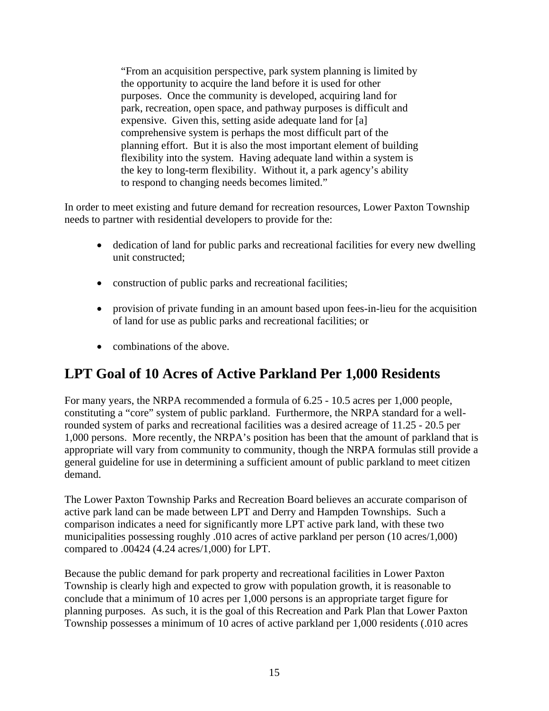"From an acquisition perspective, park system planning is limited by the opportunity to acquire the land before it is used for other purposes. Once the community is developed, acquiring land for park, recreation, open space, and pathway purposes is difficult and expensive. Given this, setting aside adequate land for [a] comprehensive system is perhaps the most difficult part of the planning effort. But it is also the most important element of building flexibility into the system. Having adequate land within a system is the key to long-term flexibility. Without it, a park agency's ability to respond to changing needs becomes limited."

In order to meet existing and future demand for recreation resources, Lower Paxton Township needs to partner with residential developers to provide for the:

- dedication of land for public parks and recreational facilities for every new dwelling unit constructed;
- construction of public parks and recreational facilities;
- provision of private funding in an amount based upon fees-in-lieu for the acquisition of land for use as public parks and recreational facilities; or
- combinations of the above.

### **LPT Goal of 10 Acres of Active Parkland Per 1,000 Residents**

For many years, the NRPA recommended a formula of 6.25 - 10.5 acres per 1,000 people, constituting a "core" system of public parkland. Furthermore, the NRPA standard for a wellrounded system of parks and recreational facilities was a desired acreage of 11.25 - 20.5 per 1,000 persons. More recently, the NRPA's position has been that the amount of parkland that is appropriate will vary from community to community, though the NRPA formulas still provide a general guideline for use in determining a sufficient amount of public parkland to meet citizen demand.

The Lower Paxton Township Parks and Recreation Board believes an accurate comparison of active park land can be made between LPT and Derry and Hampden Townships. Such a comparison indicates a need for significantly more LPT active park land, with these two municipalities possessing roughly .010 acres of active parkland per person (10 acres/1,000) compared to .00424 (4.24 acres/1,000) for LPT.

Because the public demand for park property and recreational facilities in Lower Paxton Township is clearly high and expected to grow with population growth, it is reasonable to conclude that a minimum of 10 acres per 1,000 persons is an appropriate target figure for planning purposes. As such, it is the goal of this Recreation and Park Plan that Lower Paxton Township possesses a minimum of 10 acres of active parkland per 1,000 residents (.010 acres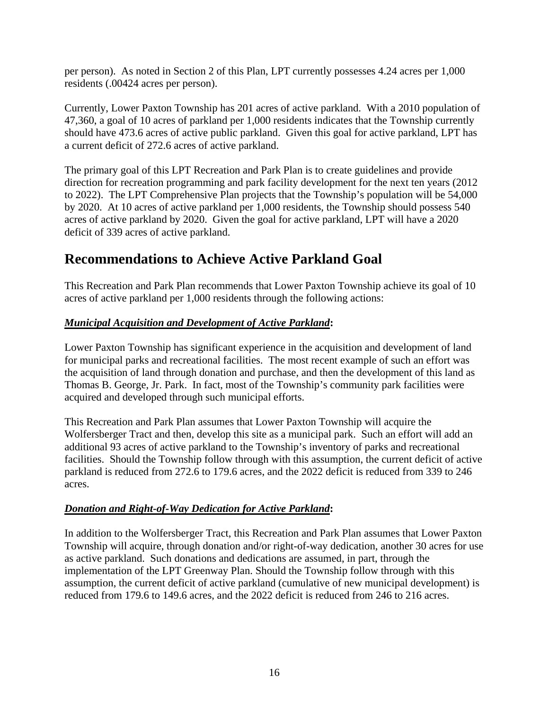per person). As noted in Section 2 of this Plan, LPT currently possesses 4.24 acres per 1,000 residents (.00424 acres per person).

Currently, Lower Paxton Township has 201 acres of active parkland. With a 2010 population of 47,360, a goal of 10 acres of parkland per 1,000 residents indicates that the Township currently should have 473.6 acres of active public parkland. Given this goal for active parkland, LPT has a current deficit of 272.6 acres of active parkland.

The primary goal of this LPT Recreation and Park Plan is to create guidelines and provide direction for recreation programming and park facility development for the next ten years (2012 to 2022). The LPT Comprehensive Plan projects that the Township's population will be 54,000 by 2020. At 10 acres of active parkland per 1,000 residents, the Township should possess 540 acres of active parkland by 2020. Given the goal for active parkland, LPT will have a 2020 deficit of 339 acres of active parkland.

### **Recommendations to Achieve Active Parkland Goal**

This Recreation and Park Plan recommends that Lower Paxton Township achieve its goal of 10 acres of active parkland per 1,000 residents through the following actions:

#### *Municipal Acquisition and Development of Active Parkland***:**

Lower Paxton Township has significant experience in the acquisition and development of land for municipal parks and recreational facilities. The most recent example of such an effort was the acquisition of land through donation and purchase, and then the development of this land as Thomas B. George, Jr. Park. In fact, most of the Township's community park facilities were acquired and developed through such municipal efforts.

This Recreation and Park Plan assumes that Lower Paxton Township will acquire the Wolfersberger Tract and then, develop this site as a municipal park. Such an effort will add an additional 93 acres of active parkland to the Township's inventory of parks and recreational facilities. Should the Township follow through with this assumption, the current deficit of active parkland is reduced from 272.6 to 179.6 acres, and the 2022 deficit is reduced from 339 to 246 acres.

#### *Donation and Right-of-Way Dedication for Active Parkland***:**

In addition to the Wolfersberger Tract, this Recreation and Park Plan assumes that Lower Paxton Township will acquire, through donation and/or right-of-way dedication, another 30 acres for use as active parkland. Such donations and dedications are assumed, in part, through the implementation of the LPT Greenway Plan. Should the Township follow through with this assumption, the current deficit of active parkland (cumulative of new municipal development) is reduced from 179.6 to 149.6 acres, and the 2022 deficit is reduced from 246 to 216 acres.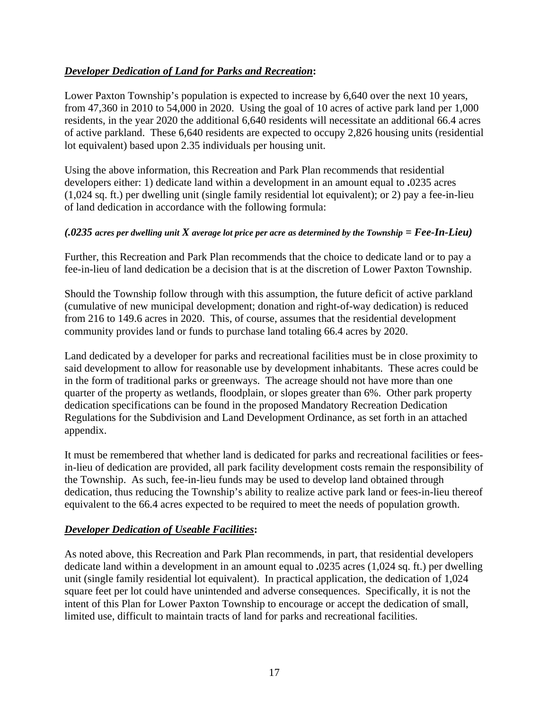#### *Developer Dedication of Land for Parks and Recreation***:**

Lower Paxton Township's population is expected to increase by 6,640 over the next 10 years, from 47,360 in 2010 to 54,000 in 2020. Using the goal of 10 acres of active park land per 1,000 residents, in the year 2020 the additional 6,640 residents will necessitate an additional 66.4 acres of active parkland. These 6,640 residents are expected to occupy 2,826 housing units (residential lot equivalent) based upon 2.35 individuals per housing unit.

Using the above information, this Recreation and Park Plan recommends that residential developers either: 1) dedicate land within a development in an amount equal to **.**0235 acres (1,024 sq. ft.) per dwelling unit (single family residential lot equivalent); or 2) pay a fee-in-lieu of land dedication in accordance with the following formula:

#### *(.0235 acres per dwelling unit X average lot price per acre as determined by the Township = Fee-In-Lieu)*

Further, this Recreation and Park Plan recommends that the choice to dedicate land or to pay a fee-in-lieu of land dedication be a decision that is at the discretion of Lower Paxton Township.

Should the Township follow through with this assumption, the future deficit of active parkland (cumulative of new municipal development; donation and right-of-way dedication) is reduced from 216 to 149.6 acres in 2020. This, of course, assumes that the residential development community provides land or funds to purchase land totaling 66.4 acres by 2020.

Land dedicated by a developer for parks and recreational facilities must be in close proximity to said development to allow for reasonable use by development inhabitants. These acres could be in the form of traditional parks or greenways. The acreage should not have more than one quarter of the property as wetlands, floodplain, or slopes greater than 6%. Other park property dedication specifications can be found in the proposed Mandatory Recreation Dedication Regulations for the Subdivision and Land Development Ordinance, as set forth in an attached appendix.

It must be remembered that whether land is dedicated for parks and recreational facilities or feesin-lieu of dedication are provided, all park facility development costs remain the responsibility of the Township. As such, fee-in-lieu funds may be used to develop land obtained through dedication, thus reducing the Township's ability to realize active park land or fees-in-lieu thereof equivalent to the 66.4 acres expected to be required to meet the needs of population growth.

#### *Developer Dedication of Useable Facilities***:**

As noted above, this Recreation and Park Plan recommends, in part, that residential developers dedicate land within a development in an amount equal to **.**0235 acres (1,024 sq. ft.) per dwelling unit (single family residential lot equivalent). In practical application, the dedication of 1,024 square feet per lot could have unintended and adverse consequences. Specifically, it is not the intent of this Plan for Lower Paxton Township to encourage or accept the dedication of small, limited use, difficult to maintain tracts of land for parks and recreational facilities.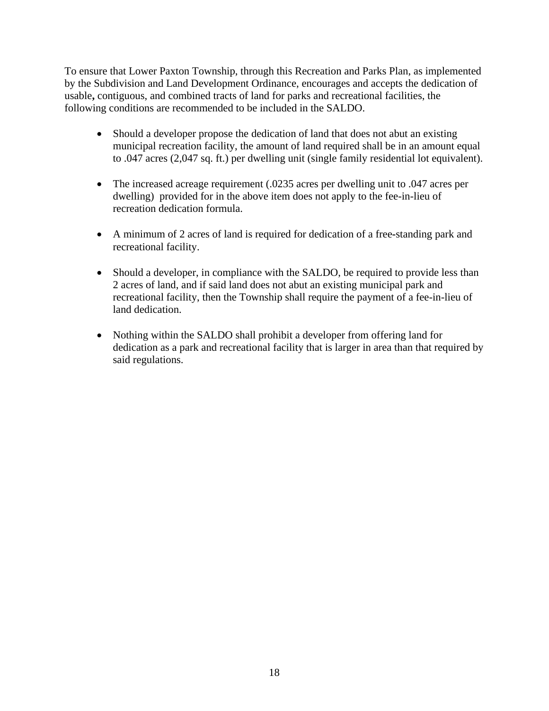To ensure that Lower Paxton Township, through this Recreation and Parks Plan, as implemented by the Subdivision and Land Development Ordinance, encourages and accepts the dedication of usable**,** contiguous, and combined tracts of land for parks and recreational facilities, the following conditions are recommended to be included in the SALDO.

- Should a developer propose the dedication of land that does not abut an existing municipal recreation facility, the amount of land required shall be in an amount equal to .047 acres (2,047 sq. ft.) per dwelling unit (single family residential lot equivalent).
- The increased acreage requirement (.0235 acres per dwelling unit to .047 acres per dwelling) provided for in the above item does not apply to the fee-in-lieu of recreation dedication formula.
- A minimum of 2 acres of land is required for dedication of a free**-**standing park and recreational facility.
- Should a developer, in compliance with the SALDO, be required to provide less than 2 acres of land, and if said land does not abut an existing municipal park and recreational facility, then the Township shall require the payment of a fee-in-lieu of land dedication.
- Nothing within the SALDO shall prohibit a developer from offering land for dedication as a park and recreational facility that is larger in area than that required by said regulations.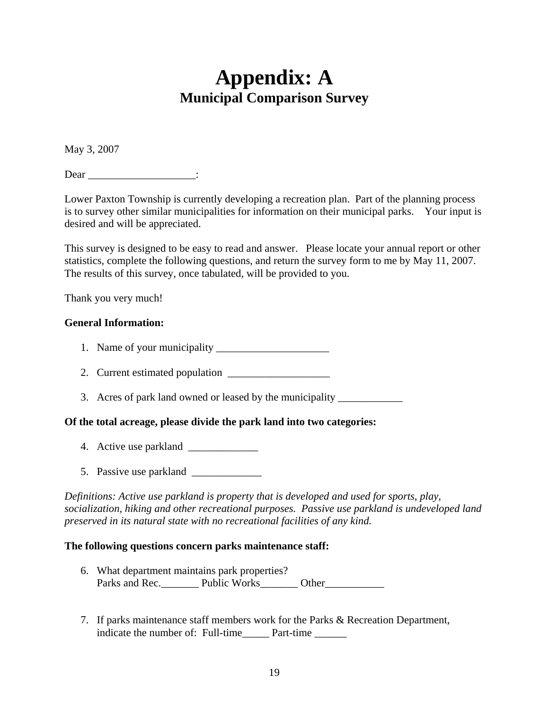# **Appendix: A Municipal Comparison Survey**

May 3, 2007

Dear :

Lower Paxton Township is currently developing a recreation plan. Part of the planning process is to survey other similar municipalities for information on their municipal parks. Your input is desired and will be appreciated.

This survey is designed to be easy to read and answer. Please locate your annual report or other statistics, complete the following questions, and return the survey form to me by May 11, 2007. The results of this survey, once tabulated, will be provided to you.

Thank you very much!

#### **General Information:**

- 1. Name of your municipality \_\_\_\_\_\_\_\_\_\_\_\_\_\_\_\_\_\_\_\_\_
- 2. Current estimated population
- 3. Acres of park land owned or leased by the municipality \_\_\_\_\_\_\_\_\_\_\_\_\_\_\_\_\_\_\_\_\_\_

#### **Of the total acreage, please divide the park land into two categories:**

- 4. Active use parkland \_\_\_\_\_\_\_\_\_\_\_\_\_
- 5. Passive use parkland

*Definitions: Active use parkland is property that is developed and used for sports, play, socialization, hiking and other recreational purposes. Passive use parkland is undeveloped land preserved in its natural state with no recreational facilities of any kind.* 

#### **The following questions concern parks maintenance staff:**

- 6. What department maintains park properties? Parks and Rec. Public Works Other
- 7. If parks maintenance staff members work for the Parks & Recreation Department, indicate the number of: Full-time\_\_\_\_\_\_ Part-time \_\_\_\_\_\_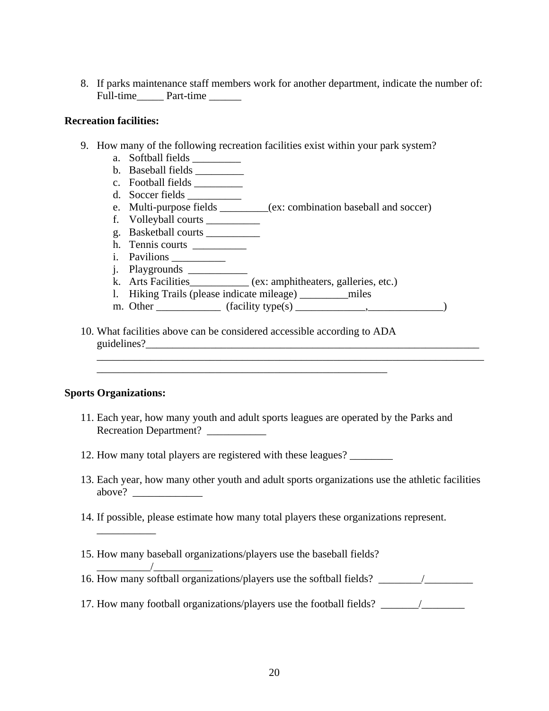8. If parks maintenance staff members work for another department, indicate the number of: Full-time Part-time

#### **Recreation facilities:**

- 9. How many of the following recreation facilities exist within your park system?
	- a. Softball fields \_\_\_\_\_\_\_\_\_
	- b. Baseball fields \_\_\_\_\_\_\_\_\_
	- c. Football fields \_\_\_\_\_\_\_\_\_
	- d. Soccer fields \_\_\_\_\_\_\_\_\_\_
	- e. Multi-purpose fields \_\_\_\_\_\_\_\_\_(ex: combination baseball and soccer)
	- f. Volleyball courts \_\_\_\_\_\_\_\_\_\_
	- g. Basketball courts \_\_\_\_\_\_\_\_\_\_
	- h. Tennis courts \_\_\_\_\_\_\_\_\_\_
	- i. Pavilions
	- j. Playgrounds \_\_\_\_\_\_\_\_\_\_\_
	- k. Arts Facilities\_\_\_\_\_\_\_\_\_\_\_ (ex: amphitheaters, galleries, etc.)
	- l. Hiking Trails (please indicate mileage) \_\_\_\_\_\_\_\_\_miles

\_\_\_\_\_\_\_\_\_\_\_\_\_\_\_\_\_\_\_\_\_\_\_\_\_\_\_\_\_\_\_\_\_\_\_\_\_\_\_\_\_\_\_\_\_\_\_\_\_\_\_\_\_\_\_\_\_\_\_\_\_\_\_\_\_\_\_\_\_\_\_\_

- m. Other  $\qquad (facility type(s)$   $\qquad \qquad$
- 10. What facilities above can be considered accessible according to ADA guidelines?

\_\_\_\_\_\_\_\_\_\_\_\_\_\_\_\_\_\_\_\_\_\_\_\_\_\_\_\_\_\_\_\_\_\_\_\_\_\_\_\_\_\_\_\_\_\_\_\_\_\_\_\_\_\_

#### **Sports Organizations:**

\_\_\_\_\_\_\_\_\_\_\_

\_\_\_\_\_\_\_\_\_\_/\_\_\_\_\_\_\_\_\_\_\_

- 11. Each year, how many youth and adult sports leagues are operated by the Parks and Recreation Department?
- 12. How many total players are registered with these leagues?
- 13. Each year, how many other youth and adult sports organizations use the athletic facilities above?
- 14. If possible, please estimate how many total players these organizations represent.
- 15. How many baseball organizations/players use the baseball fields?
- 16. How many softball organizations/players use the softball fields?
- 17. How many football organizations/players use the football fields? \_\_\_\_\_\_\_/\_\_\_\_\_\_\_\_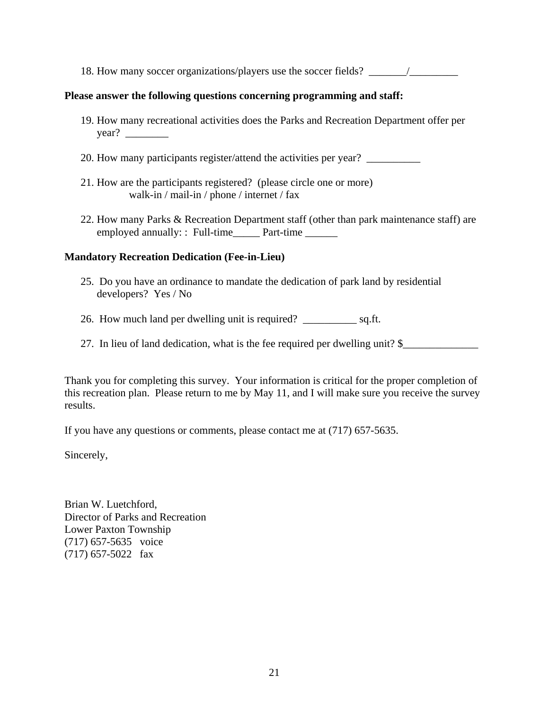18. How many soccer organizations/players use the soccer fields? \_\_\_\_\_\_\_\_\_\_\_\_\_\_\_\_

#### **Please answer the following questions concerning programming and staff:**

- 19. How many recreational activities does the Parks and Recreation Department offer per year? \_\_\_\_\_\_\_\_
- 20. How many participants register/attend the activities per year?
- 21. How are the participants registered? (please circle one or more) walk-in / mail-in / phone / internet / fax
- 22. How many Parks & Recreation Department staff (other than park maintenance staff) are employed annually: : Full-time Part-time

#### **Mandatory Recreation Dedication (Fee-in-Lieu)**

- 25. Do you have an ordinance to mandate the dedication of park land by residential developers? Yes / No
- 26. How much land per dwelling unit is required? \_\_\_\_\_\_\_\_\_\_ sq.ft.
- 27. In lieu of land dedication, what is the fee required per dwelling unit? \$

Thank you for completing this survey. Your information is critical for the proper completion of this recreation plan. Please return to me by May 11, and I will make sure you receive the survey results.

If you have any questions or comments, please contact me at (717) 657-5635.

Sincerely,

Brian W. Luetchford, Director of Parks and Recreation Lower Paxton Township (717) 657-5635 voice (717) 657-5022 fax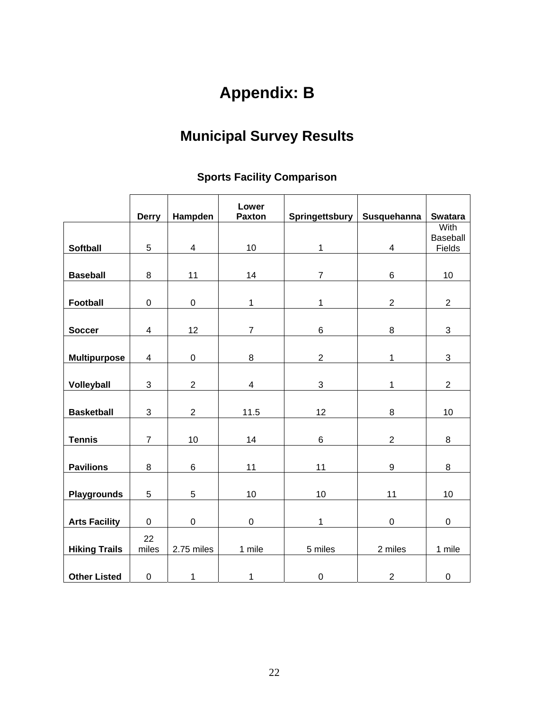# **Appendix: B**

# **Municipal Survey Results**

### **Sports Facility Comparison**

|                      | <b>Derry</b>            | Hampden          | Lower<br><b>Paxton</b>  | Springettsbury | Susquehanna      | <b>Swatara</b>   |
|----------------------|-------------------------|------------------|-------------------------|----------------|------------------|------------------|
|                      |                         |                  |                         |                |                  | With             |
|                      |                         |                  |                         |                |                  | Baseball         |
| <b>Softball</b>      | 5                       | $\overline{4}$   | 10                      | 1              | 4                | Fields           |
|                      |                         |                  |                         |                |                  |                  |
| <b>Baseball</b>      | 8                       | 11               | 14                      | $\overline{7}$ | 6                | 10               |
|                      |                         |                  |                         |                |                  |                  |
| Football             | 0                       | $\pmb{0}$        | 1                       | 1              | $\overline{2}$   | $\overline{2}$   |
|                      |                         |                  |                         |                |                  |                  |
| <b>Soccer</b>        | $\overline{\mathbf{4}}$ | 12               | $\overline{7}$          | 6              | $\bf 8$          | 3                |
|                      |                         |                  |                         |                |                  |                  |
| <b>Multipurpose</b>  | 4                       | $\pmb{0}$        | $\bf 8$                 | $\overline{2}$ | 1                | $\mathbf{3}$     |
|                      |                         |                  |                         |                |                  |                  |
| Volleyball           | 3                       | $\overline{2}$   | $\overline{\mathbf{4}}$ | 3              | 1                | $\overline{2}$   |
|                      |                         |                  |                         |                |                  |                  |
| <b>Basketball</b>    | 3                       | $\overline{c}$   | 11.5                    | 12             | $\bf 8$          | 10               |
|                      |                         |                  |                         |                |                  |                  |
| <b>Tennis</b>        | $\overline{7}$          | 10               | 14                      | 6              | $\overline{2}$   | 8                |
|                      |                         |                  |                         |                |                  |                  |
| <b>Pavilions</b>     | 8                       | 6                | 11                      | 11             | $\boldsymbol{9}$ | 8                |
|                      |                         |                  |                         |                |                  |                  |
| <b>Playgrounds</b>   | 5                       | 5                | 10                      | 10             | 11               | 10               |
|                      |                         |                  |                         |                |                  |                  |
| <b>Arts Facility</b> | $\boldsymbol{0}$        | $\boldsymbol{0}$ | $\pmb{0}$               | 1              | $\boldsymbol{0}$ | $\boldsymbol{0}$ |
|                      | 22                      |                  |                         |                |                  |                  |
| <b>Hiking Trails</b> | miles                   | 2.75 miles       | 1 mile                  | 5 miles        | 2 miles          | 1 mile           |
|                      |                         |                  |                         |                |                  |                  |
| <b>Other Listed</b>  | $\mathbf 0$             | 1                | 1                       | $\pmb{0}$      | $\boldsymbol{2}$ | $\pmb{0}$        |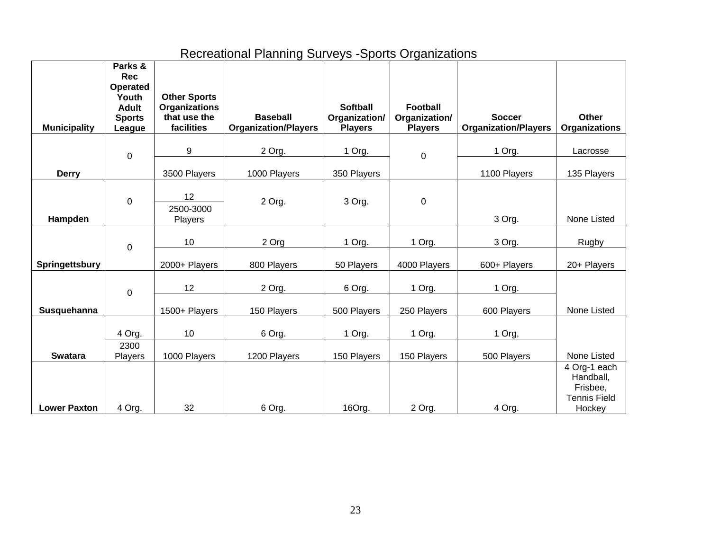## Recreational Planning Surveys -Sports Organizations

| <b>Municipality</b> | Parks &<br><b>Rec</b><br><b>Operated</b><br>Youth<br><b>Adult</b><br><b>Sports</b><br>League | <b>Other Sports</b><br><b>Organizations</b><br>that use the<br>facilities | <b>Baseball</b><br><b>Organization/Players</b> | <b>Softball</b><br>Organization/<br><b>Players</b> | <b>Football</b><br>Organization/<br><b>Players</b> | <b>Soccer</b><br><b>Organization/Players</b> | <b>Other</b><br><b>Organizations</b>                                   |
|---------------------|----------------------------------------------------------------------------------------------|---------------------------------------------------------------------------|------------------------------------------------|----------------------------------------------------|----------------------------------------------------|----------------------------------------------|------------------------------------------------------------------------|
|                     |                                                                                              |                                                                           |                                                |                                                    |                                                    |                                              |                                                                        |
|                     | 0                                                                                            | 9                                                                         | 2 Org.                                         | 1 Org.                                             | 0                                                  | 1 Org.                                       | Lacrosse                                                               |
| <b>Derry</b>        |                                                                                              | 3500 Players                                                              | 1000 Players                                   | 350 Players                                        |                                                    | 1100 Players                                 | 135 Players                                                            |
| Hampden             | 0                                                                                            | 12<br>2500-3000<br>Players                                                | 2 Org.                                         | 3 Org.                                             | 0                                                  | 3 Org.                                       | None Listed                                                            |
|                     | 0                                                                                            | 10                                                                        | 2 Org                                          | 1 Org.                                             | 1 Org.                                             | 3 Org.                                       | Rugby                                                                  |
| Springettsbury      |                                                                                              | 2000+ Players                                                             | 800 Players                                    | 50 Players                                         | 4000 Players                                       | 600+ Players                                 | 20+ Players                                                            |
|                     | 0                                                                                            | 12                                                                        | 2 Org.                                         | 6 Org.                                             | 1 Org.                                             | 1 Org.                                       |                                                                        |
| Susquehanna         |                                                                                              | 1500+ Players                                                             | 150 Players                                    | 500 Players                                        | 250 Players                                        | 600 Players                                  | None Listed                                                            |
|                     | 4 Org.                                                                                       | 10                                                                        | 6 Org.                                         | 1 Org.                                             | 1 Org.                                             | 1 Org,                                       |                                                                        |
| <b>Swatara</b>      | 2300<br>Players                                                                              | 1000 Players                                                              | 1200 Players                                   | 150 Players                                        | 150 Players                                        | 500 Players                                  | None Listed                                                            |
| <b>Lower Paxton</b> | 4 Org.                                                                                       | 32                                                                        | 6 Org.                                         | 16Org.                                             | 2 Org.                                             | 4 Org.                                       | 4 Org-1 each<br>Handball,<br>Frisbee,<br><b>Tennis Field</b><br>Hockey |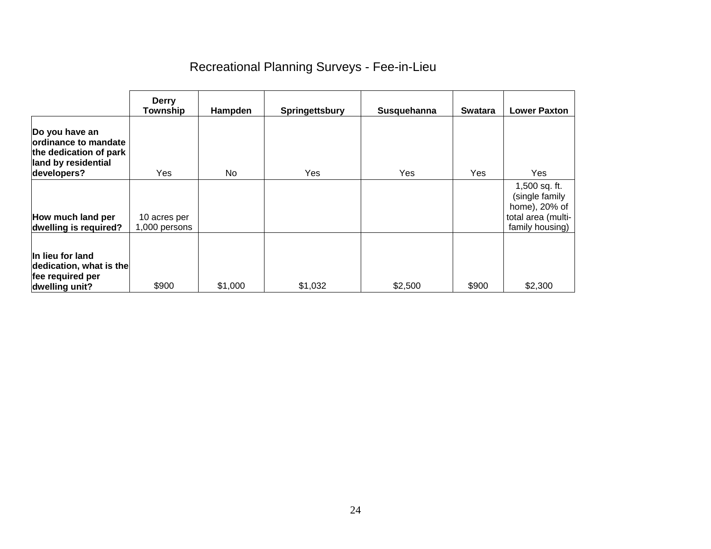## Recreational Planning Surveys - Fee-in-Lieu

|                                                                                                         | <b>Derry</b><br><b>Township</b> | Hampden        | Springettsbury | Susquehanna | <b>Swatara</b> | <b>Lower Paxton</b>                                                                       |
|---------------------------------------------------------------------------------------------------------|---------------------------------|----------------|----------------|-------------|----------------|-------------------------------------------------------------------------------------------|
| Do you have an<br>lordinance to mandate<br>the dedication of park<br>land by residential<br>developers? | Yes.                            | N <sub>o</sub> | <b>Yes</b>     | Yes         | <b>Yes</b>     | Yes                                                                                       |
| How much land per<br>dwelling is required?                                                              | 10 acres per<br>1,000 persons   |                |                |             |                | 1,500 sq. ft.<br>(single family<br>home), 20% of<br>total area (multi-<br>family housing) |
| In lieu for land<br>dedication, what is the<br>fee required per<br>dwelling unit?                       | \$900                           | \$1,000        | \$1,032        | \$2,500     | \$900          | \$2,300                                                                                   |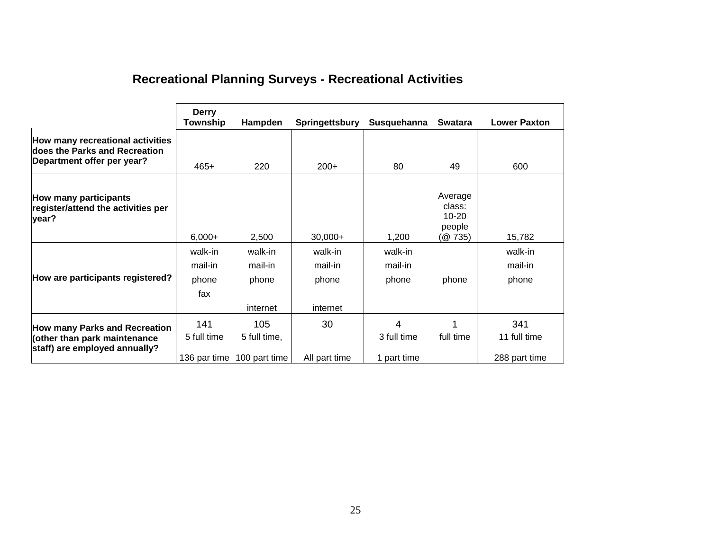|  |  |  | <b>Recreational Planning Surveys - Recreational Activities</b> |  |
|--|--|--|----------------------------------------------------------------|--|
|--|--|--|----------------------------------------------------------------|--|

|                                                                                                       | <b>Derry</b><br>Township           | Hampden                                             | Springettsbury                          | Susquehanna                     | <b>Swatara</b>                                     | <b>Lower Paxton</b>                  |
|-------------------------------------------------------------------------------------------------------|------------------------------------|-----------------------------------------------------|-----------------------------------------|---------------------------------|----------------------------------------------------|--------------------------------------|
| How many recreational activities<br>does the Parks and Recreation<br>Department offer per year?       | $465+$                             | 220                                                 | $200+$                                  | 80                              | 49                                                 | 600                                  |
| How many participants<br>register/attend the activities per<br>year?                                  | $6,000+$                           | 2,500                                               | $30,000+$                               | 1,200                           | Average<br>class:<br>$10 - 20$<br>people<br>(@735) | 15,782                               |
| How are participants registered?                                                                      | walk-in<br>mail-in<br>phone<br>fax | walk-in<br>mail-in<br>phone<br>internet             | walk-in<br>mail-in<br>phone<br>internet | walk-in<br>mail-in<br>phone     | phone                                              | walk-in<br>mail-in<br>phone          |
| <b>How many Parks and Recreation</b><br>(other than park maintenance<br>staff) are employed annually? | 141<br>5 full time                 | 105<br>5 full time,<br>136 par time   100 part time | 30<br>All part time                     | 4<br>3 full time<br>1 part time | full time                                          | 341<br>11 full time<br>288 part time |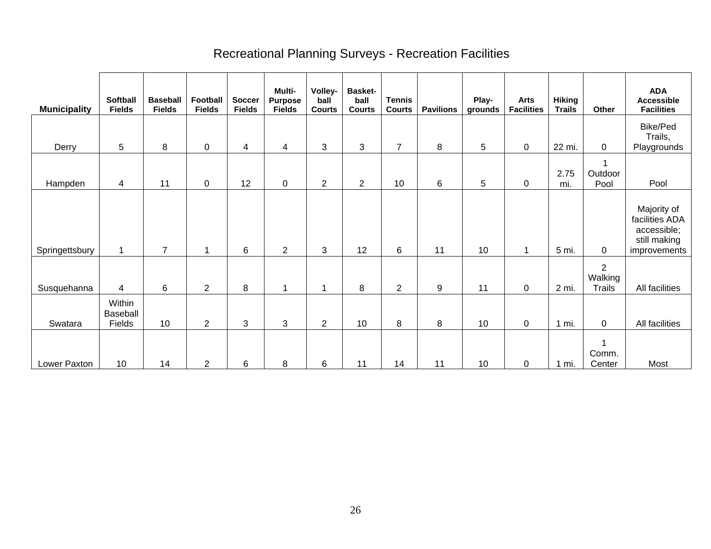## Recreational Planning Surveys - Recreation Facilities

| <b>Municipality</b> | <b>Softball</b><br><b>Fields</b> | <b>Baseball</b><br><b>Fields</b> | <b>Football</b><br><b>Fields</b> | <b>Soccer</b><br><b>Fields</b> | Multi-<br><b>Purpose</b><br><b>Fields</b> | Volley-<br>ball<br><b>Courts</b> | <b>Basket-</b><br>ball<br><b>Courts</b> | <b>Tennis</b><br><b>Courts</b> | <b>Pavilions</b> | Play-<br>grounds | <b>Arts</b><br><b>Facilities</b> | <b>Hiking</b><br><b>Trails</b> | Other                                      | <b>ADA</b><br><b>Accessible</b><br><b>Facilities</b>                         |
|---------------------|----------------------------------|----------------------------------|----------------------------------|--------------------------------|-------------------------------------------|----------------------------------|-----------------------------------------|--------------------------------|------------------|------------------|----------------------------------|--------------------------------|--------------------------------------------|------------------------------------------------------------------------------|
| Derry               | 5                                | 8                                | $\mathbf 0$                      | 4                              | 4                                         | 3                                | 3                                       | $\overline{7}$                 | 8                | 5                | $\pmb{0}$                        | 22 mi.                         | $\mathbf 0$                                | <b>Bike/Ped</b><br>Trails,<br>Playgrounds                                    |
| Hampden             | 4                                | 11                               | $\mathbf 0$                      | 12                             | $\mathbf 0$                               | $\mathbf{2}$                     | $\overline{2}$                          | 10                             | 6                | 5                | 0                                | 2.75<br>mi.                    | Outdoor<br>Pool                            | Pool                                                                         |
| Springettsbury      | -1                               | $\overline{7}$                   | и                                | 6                              | 2                                         | 3                                | 12                                      | 6                              | 11               | 10               | 1                                | 5 mi.                          | $\mathbf 0$                                | Majority of<br>facilities ADA<br>accessible;<br>still making<br>improvements |
| Susquehanna         | 4                                | 6                                | $\overline{2}$                   | 8                              | -1                                        | 1                                | 8                                       | 2                              | 9                | 11               | 0                                | 2 mi.                          | $\overline{2}$<br>Walking<br><b>Trails</b> | All facilities                                                               |
| Swatara             | Within<br>Baseball<br>Fields     | 10                               | $\overline{2}$                   | $\mathbf{3}$                   | 3                                         | $\overline{2}$                   | 10                                      | 8                              | 8                | 10               | 0                                | 1 mi.                          | 0                                          | All facilities                                                               |
| Lower Paxton        | 10                               | 14                               | $\overline{2}$                   | 6                              | 8                                         | 6                                | 11                                      | 14                             | 11               | 10               | 0                                | mi.                            | 1<br>Comm.<br>Center                       | Most                                                                         |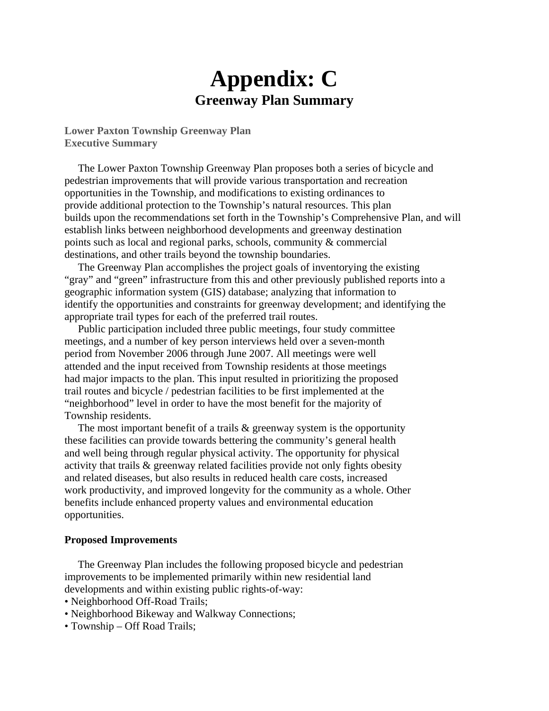# **Appendix: C Greenway Plan Summary**

**Lower Paxton Township Greenway Plan Executive Summary** 

 The Lower Paxton Township Greenway Plan proposes both a series of bicycle and pedestrian improvements that will provide various transportation and recreation opportunities in the Township, and modifications to existing ordinances to provide additional protection to the Township's natural resources. This plan builds upon the recommendations set forth in the Township's Comprehensive Plan, and will establish links between neighborhood developments and greenway destination points such as local and regional parks, schools, community & commercial destinations, and other trails beyond the township boundaries.

 The Greenway Plan accomplishes the project goals of inventorying the existing "gray" and "green" infrastructure from this and other previously published reports into a geographic information system (GIS) database; analyzing that information to identify the opportunities and constraints for greenway development; and identifying the appropriate trail types for each of the preferred trail routes.

Public participation included three public meetings, four study committee meetings, and a number of key person interviews held over a seven-month period from November 2006 through June 2007. All meetings were well attended and the input received from Township residents at those meetings had major impacts to the plan. This input resulted in prioritizing the proposed trail routes and bicycle / pedestrian facilities to be first implemented at the "neighborhood" level in order to have the most benefit for the majority of Township residents.

The most important benefit of a trails & greenway system is the opportunity these facilities can provide towards bettering the community's general health and well being through regular physical activity. The opportunity for physical activity that trails & greenway related facilities provide not only fights obesity and related diseases, but also results in reduced health care costs, increased work productivity, and improved longevity for the community as a whole. Other benefits include enhanced property values and environmental education opportunities.

#### **Proposed Improvements**

 The Greenway Plan includes the following proposed bicycle and pedestrian improvements to be implemented primarily within new residential land developments and within existing public rights-of-way:

- Neighborhood Off-Road Trails;
- Neighborhood Bikeway and Walkway Connections;
- Township Off Road Trails;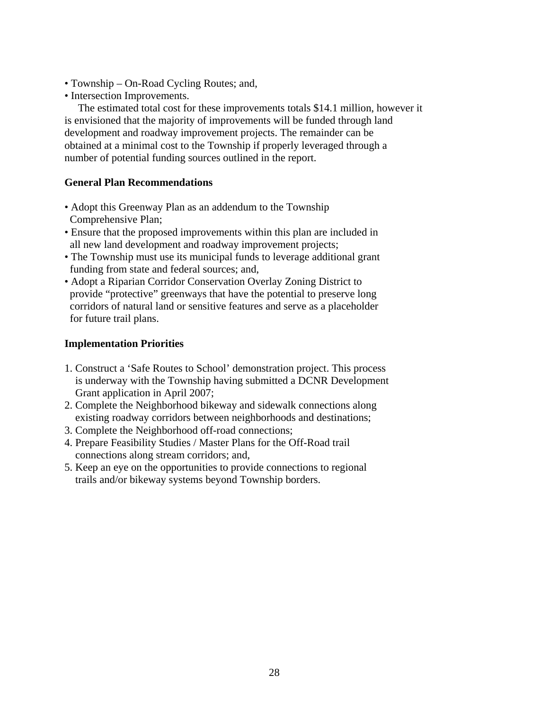- Township On-Road Cycling Routes; and,
- Intersection Improvements.

 The estimated total cost for these improvements totals \$14.1 million, however it is envisioned that the majority of improvements will be funded through land development and roadway improvement projects. The remainder can be obtained at a minimal cost to the Township if properly leveraged through a number of potential funding sources outlined in the report.

#### **General Plan Recommendations**

- Adopt this Greenway Plan as an addendum to the Township Comprehensive Plan;
- Ensure that the proposed improvements within this plan are included in all new land development and roadway improvement projects;
- The Township must use its municipal funds to leverage additional grant funding from state and federal sources; and,
- Adopt a Riparian Corridor Conservation Overlay Zoning District to provide "protective" greenways that have the potential to preserve long corridors of natural land or sensitive features and serve as a placeholder for future trail plans.

#### **Implementation Priorities**

- 1. Construct a 'Safe Routes to School' demonstration project. This process is underway with the Township having submitted a DCNR Development Grant application in April 2007;
- 2. Complete the Neighborhood bikeway and sidewalk connections along existing roadway corridors between neighborhoods and destinations;
- 3. Complete the Neighborhood off-road connections;
- 4. Prepare Feasibility Studies / Master Plans for the Off-Road trail connections along stream corridors; and,
- 5. Keep an eye on the opportunities to provide connections to regional trails and/or bikeway systems beyond Township borders.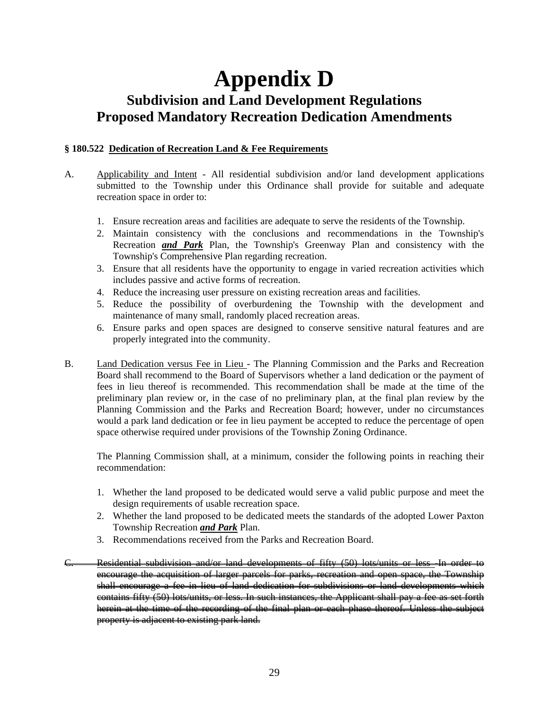# **Appendix D Subdivision and Land Development Regulations Proposed Mandatory Recreation Dedication Amendments**

#### **§ 180.522 Dedication of Recreation Land & Fee Requirements**

- A. Applicability and Intent All residential subdivision and/or land development applications submitted to the Township under this Ordinance shall provide for suitable and adequate recreation space in order to:
	- 1. Ensure recreation areas and facilities are adequate to serve the residents of the Township.
	- 2. Maintain consistency with the conclusions and recommendations in the Township's Recreation *and Park* Plan, the Township's Greenway Plan and consistency with the Township's Comprehensive Plan regarding recreation.
	- 3. Ensure that all residents have the opportunity to engage in varied recreation activities which includes passive and active forms of recreation.
	- 4. Reduce the increasing user pressure on existing recreation areas and facilities.
	- 5. Reduce the possibility of overburdening the Township with the development and maintenance of many small, randomly placed recreation areas.
	- 6. Ensure parks and open spaces are designed to conserve sensitive natural features and are properly integrated into the community.
- B. Land Dedication versus Fee in Lieu The Planning Commission and the Parks and Recreation Board shall recommend to the Board of Supervisors whether a land dedication or the payment of fees in lieu thereof is recommended. This recommendation shall be made at the time of the preliminary plan review or, in the case of no preliminary plan, at the final plan review by the Planning Commission and the Parks and Recreation Board; however, under no circumstances would a park land dedication or fee in lieu payment be accepted to reduce the percentage of open space otherwise required under provisions of the Township Zoning Ordinance.

The Planning Commission shall, at a minimum, consider the following points in reaching their recommendation:

- 1. Whether the land proposed to be dedicated would serve a valid public purpose and meet the design requirements of usable recreation space.
- 2. Whether the land proposed to be dedicated meets the standards of the adopted Lower Paxton Township Recreation *and Park* Plan.
- 3. Recommendations received from the Parks and Recreation Board.
- Residential subdivision and/or land developments of fifty (50) lots/units or less -In order to encourage the acquisition of larger parcels for parks, recreation and open space, the Township shall encourage a fee in lieu of land dedication for subdivisions or land developments which contains fifty (50) lots/units, or less. In such instances, the Applicant shall pay a fee as set forth herein at the time of the recording of the final plan or each phase thereof. Unless the subject property is adjacent to existing park land.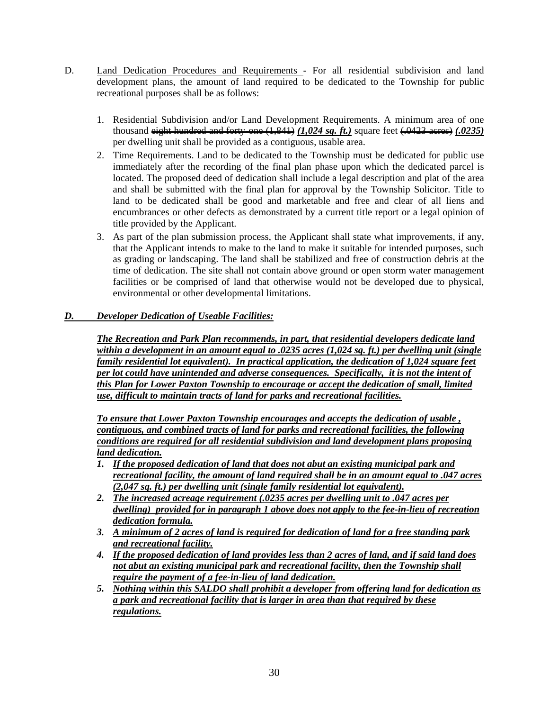- D. Land Dedication Procedures and Requirements For all residential subdivision and land development plans, the amount of land required to be dedicated to the Township for public recreational purposes shall be as follows:
	- 1. Residential Subdivision and/or Land Development Requirements. A minimum area of one thousand eight hundred and forty-one (1,841) *(1,024 sq. ft.)* square feet (.0423 acres) *(.0235)* per dwelling unit shall be provided as a contiguous, usable area.
	- 2. Time Requirements. Land to be dedicated to the Township must be dedicated for public use immediately after the recording of the final plan phase upon which the dedicated parcel is located. The proposed deed of dedication shall include a legal description and plat of the area and shall be submitted with the final plan for approval by the Township Solicitor. Title to land to be dedicated shall be good and marketable and free and clear of all liens and encumbrances or other defects as demonstrated by a current title report or a legal opinion of title provided by the Applicant.
	- 3. As part of the plan submission process, the Applicant shall state what improvements, if any, that the Applicant intends to make to the land to make it suitable for intended purposes, such as grading or landscaping. The land shall be stabilized and free of construction debris at the time of dedication. The site shall not contain above ground or open storm water management facilities or be comprised of land that otherwise would not be developed due to physical, environmental or other developmental limitations.

#### *D. Developer Dedication of Useable Facilities:*

*The Recreation and Park Plan recommends, in part, that residential developers dedicate land within a development in an amount equal to .0235 acres (1,024 sq. ft.) per dwelling unit (single family residential lot equivalent). In practical application, the dedication of 1,024 square feet per lot could have unintended and adverse consequences. Specifically, it is not the intent of this Plan for Lower Paxton Township to encourage or accept the dedication of small, limited use, difficult to maintain tracts of land for parks and recreational facilities.*

*To ensure that Lower Paxton Township encourages and accepts the dedication of usable , contiguous, and combined tracts of land for parks and recreational facilities, the following conditions are required for all residential subdivision and land development plans proposing land dedication.*

- *1. If the proposed dedication of land that does not abut an existing municipal park and recreational facility, the amount of land required shall be in an amount equal to .047 acres (2,047 sq. ft.) per dwelling unit (single family residential lot equivalent).*
- *2. The increased acreage requirement (.0235 acres per dwelling unit to .047 acres per dwelling) provided for in paragraph 1 above does not apply to the fee-in-lieu of recreation dedication formula.*
- *3. A minimum of 2 acres of land is required for dedication of land for a free standing park and recreational facility.*
- *4. If the proposed dedication of land provides less than 2 acres of land, and if said land does not abut an existing municipal park and recreational facility, then the Township shall require the payment of a fee-in-lieu of land dedication.*
- *5. Nothing within this SALDO shall prohibit a developer from offering land for dedication as a park and recreational facility that is larger in area than that required by these regulations.*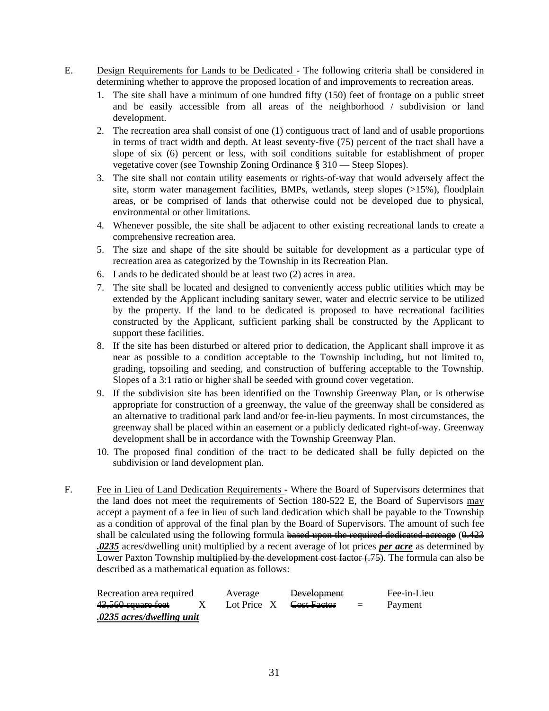- E. Design Requirements for Lands to be Dedicated The following criteria shall be considered in determining whether to approve the proposed location of and improvements to recreation areas.
	- 1. The site shall have a minimum of one hundred fifty (150) feet of frontage on a public street and be easily accessible from all areas of the neighborhood / subdivision or land development.
	- 2. The recreation area shall consist of one (1) contiguous tract of land and of usable proportions in terms of tract width and depth. At least seventy-five (75) percent of the tract shall have a slope of six (6) percent or less, with soil conditions suitable for establishment of proper vegetative cover (see Township Zoning Ordinance § 310 — Steep Slopes).
	- 3. The site shall not contain utility easements or rights-of-way that would adversely affect the site, storm water management facilities, BMPs, wetlands, steep slopes (>15%), floodplain areas, or be comprised of lands that otherwise could not be developed due to physical, environmental or other limitations.
	- 4. Whenever possible, the site shall be adjacent to other existing recreational lands to create a comprehensive recreation area.
	- 5. The size and shape of the site should be suitable for development as a particular type of recreation area as categorized by the Township in its Recreation Plan.
	- 6. Lands to be dedicated should be at least two (2) acres in area.
	- 7. The site shall be located and designed to conveniently access public utilities which may be extended by the Applicant including sanitary sewer, water and electric service to be utilized by the property. If the land to be dedicated is proposed to have recreational facilities constructed by the Applicant, sufficient parking shall be constructed by the Applicant to support these facilities.
	- 8. If the site has been disturbed or altered prior to dedication, the Applicant shall improve it as near as possible to a condition acceptable to the Township including, but not limited to, grading, topsoiling and seeding, and construction of buffering acceptable to the Township. Slopes of a 3:1 ratio or higher shall be seeded with ground cover vegetation.
	- 9. If the subdivision site has been identified on the Township Greenway Plan, or is otherwise appropriate for construction of a greenway, the value of the greenway shall be considered as an alternative to traditional park land and/or fee-in-lieu payments. In most circumstances, the greenway shall be placed within an easement or a publicly dedicated right-of-way. Greenway development shall be in accordance with the Township Greenway Plan.
	- 10. The proposed final condition of the tract to be dedicated shall be fully depicted on the subdivision or land development plan.
- F. Fee in Lieu of Land Dedication Requirements Where the Board of Supervisors determines that the land does not meet the requirements of Section 180-522 E, the Board of Supervisors may accept a payment of a fee in lieu of such land dedication which shall be payable to the Township as a condition of approval of the final plan by the Board of Supervisors. The amount of such fee shall be calculated using the following formula based upon the required dedicated acreage  $(0.423)$ *.0235* acres/dwelling unit) multiplied by a recent average of lot prices *per acre* as determined by Lower Paxton Township multiplied by the development cost factor  $(.75)$ . The formula can also be described as a mathematical equation as follows:

| Recreation area required  | Average | <b>Development</b>                   |          | Fee-in-Lieu |
|---------------------------|---------|--------------------------------------|----------|-------------|
| 43,560 square feet        |         | Lot Price $X$ <del>Cost Factor</del> | $\equiv$ | Payment     |
| .0235 acres/dwelling unit |         |                                      |          |             |